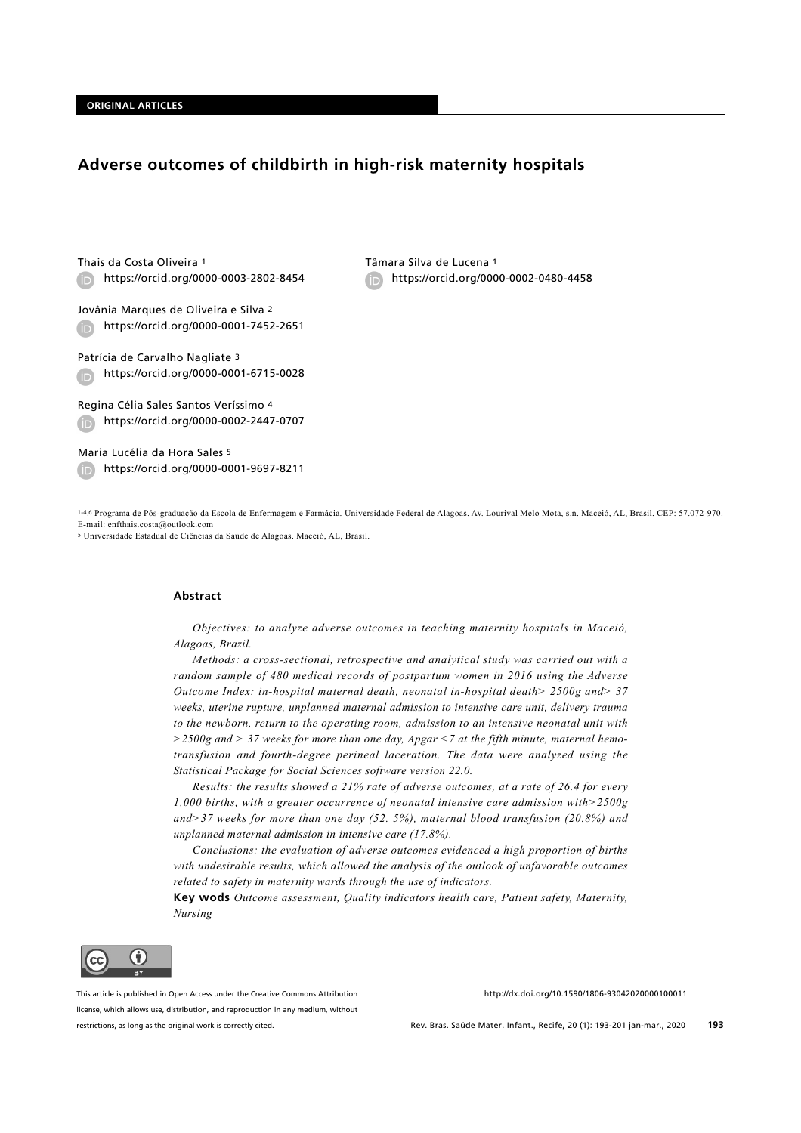# **Adverse outcomes of childbirth in high-risk maternity hospitals**

Thais da Costa Oliveira 1 https://orcid.org/0000-0003-2802-8454 (iD)

Jovânia Marques de Oliveira e Silva 2 https://orcid.org/0000-0001-7452-2651

Patrícia de Carvalho Nagliate 3 https://orcid.org/0000-0001-6715-0028  $\bigoplus$ 

Regina Célia Sales Santos Veríssimo 4 https://orcid.org/0000-0002-2447-0707

Maria Lucélia da Hora Sales 5 https://orcid.org/0000-0001-9697-8211 Tâmara Silva de Lucena 1 https://orcid.org/0000-0002-0480-4458

1-4,6 Programa de Pós-graduação da Escola de Enfermagem e Farmácia. Universidade Federal de Alagoas. Av. Lourival Melo Mota, s.n. Maceió, AL, Brasil. CEP: 57.072-970. E-mail: enfthais.costa@outlook.com

5 Universidade Estadual de Ciências da Saúde de Alagoas. Maceió, AL, Brasil.

#### **Abstract**

*Objectives: to analyze adverse outcomes in teaching maternity hospitals in Maceió, Alagoas, Brazil.* 

*Methods: a cross-sectional, retrospective and analytical study was carried out with a random sample of 480 medical records of postpartum women in 2016 using the Adverse Outcome Index: in-hospital maternal death, neonatal in-hospital death> 2500g and> 37 weeks, uterine rupture, unplanned maternal admission to intensive care unit, delivery trauma to the newborn, return to the operating room, admission to an intensive neonatal unit with >2500g and > 37 weeks for more than one day, Apgar <7 at the fifth minute, maternal hemotransfusion and fourth-degree perineal laceration. The data were analyzed using the Statistical Package for Social Sciences software version 22.0.* 

*Results: the results showed a 21% rate of adverse outcomes, at a rate of 26.4 for every 1,000 births, with a greater occurrence of neonatal intensive care admission with>2500g and>37 weeks for more than one day (52. 5%), maternal blood transfusion (20.8%) and unplanned maternal admission in intensive care (17.8%).* 

*Conclusions: the evaluation of adverse outcomes evidenced a high proportion of births with undesirable results, which allowed the analysis of the outlook of unfavorable outcomes related to safety in maternity wards through the use of indicators.*

**Key wods** *Outcome assessment, Quality indicators health care, Patient safety, Maternity, Nursing*



This article is published in Open Access under the Creative Commons Attribution license, which allows use, distribution, and reproduction in any medium, without restrictions, as long as the original work is correctly cited.

http://dx.doi.org/10.1590/1806-93042020000100011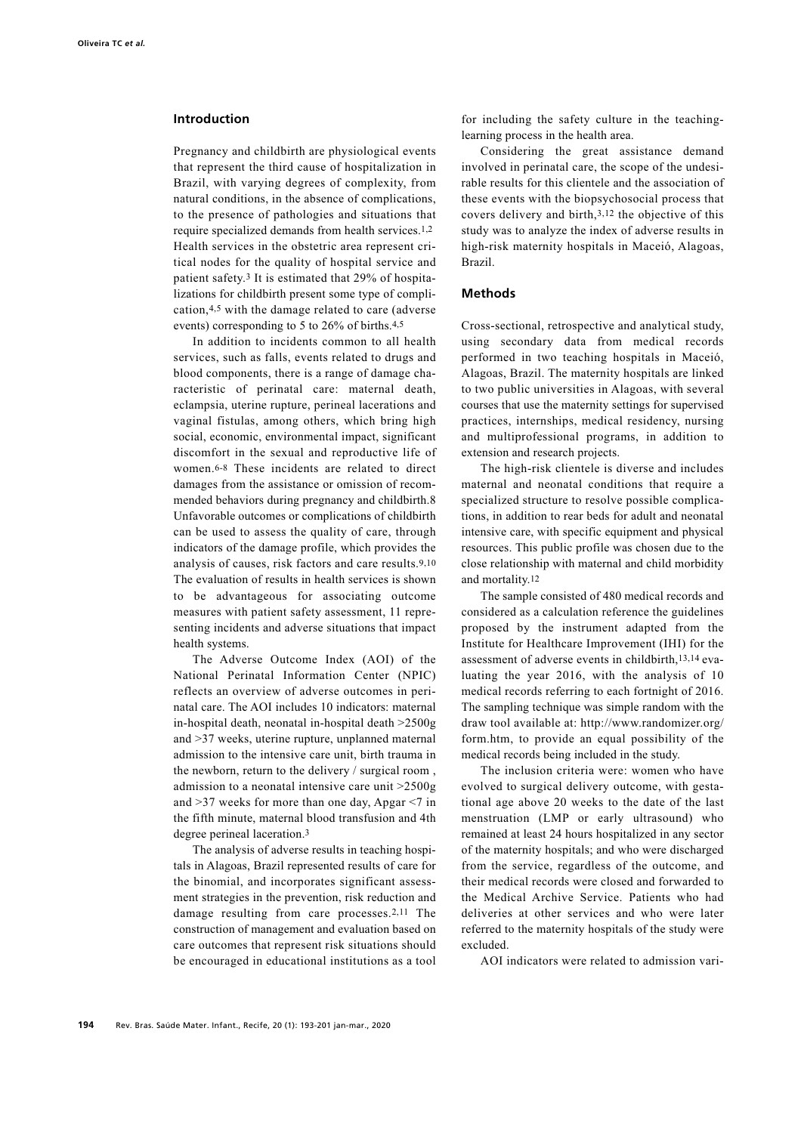### **Introduction**

Pregnancy and childbirth are physiological events that represent the third cause of hospitalization in Brazil, with varying degrees of complexity, from natural conditions, in the absence of complications, to the presence of pathologies and situations that require specialized demands from health services.<sup>1,2</sup> Health services in the obstetric area represent critical nodes for the quality of hospital service and patient safety.3 It is estimated that 29% of hospitalizations for childbirth present some type of complication,4,5 with the damage related to care (adverse events) corresponding to 5 to 26% of births.4,5

In addition to incidents common to all health services, such as falls, events related to drugs and blood components, there is a range of damage characteristic of perinatal care: maternal death, eclampsia, uterine rupture, perineal lacerations and vaginal fistulas, among others, which bring high social, economic, environmental impact, significant discomfort in the sexual and reproductive life of women.6-8 These incidents are related to direct damages from the assistance or omission of recommended behaviors during pregnancy and childbirth.8 Unfavorable outcomes or complications of childbirth can be used to assess the quality of care, through indicators of the damage profile, which provides the analysis of causes, risk factors and care results.9,10 The evaluation of results in health services is shown to be advantageous for associating outcome measures with patient safety assessment, 11 representing incidents and adverse situations that impact health systems.

The Adverse Outcome Index (AOI) of the National Perinatal Information Center (NPIC) reflects an overview of adverse outcomes in perinatal care. The AOI includes 10 indicators: maternal in-hospital death, neonatal in-hospital death >2500g and >37 weeks, uterine rupture, unplanned maternal admission to the intensive care unit, birth trauma in the newborn, return to the delivery / surgical room , admission to a neonatal intensive care unit >2500g and >37 weeks for more than one day, Apgar <7 in the fifth minute, maternal blood transfusion and 4th degree perineal laceration.3

The analysis of adverse results in teaching hospitals in Alagoas, Brazil represented results of care for the binomial, and incorporates significant assessment strategies in the prevention, risk reduction and damage resulting from care processes.2,11 The construction of management and evaluation based on care outcomes that represent risk situations should be encouraged in educational institutions as a tool for including the safety culture in the teachinglearning process in the health area.

Considering the great assistance demand involved in perinatal care, the scope of the undesirable results for this clientele and the association of these events with the biopsychosocial process that covers delivery and birth,3,12 the objective of this study was to analyze the index of adverse results in high-risk maternity hospitals in Maceió, Alagoas, Brazil.

### **Methods**

Cross-sectional, retrospective and analytical study, using secondary data from medical records performed in two teaching hospitals in Maceió, Alagoas, Brazil. The maternity hospitals are linked to two public universities in Alagoas, with several courses that use the maternity settings for supervised practices, internships, medical residency, nursing and multiprofessional programs, in addition to extension and research projects.

The high-risk clientele is diverse and includes maternal and neonatal conditions that require a specialized structure to resolve possible complications, in addition to rear beds for adult and neonatal intensive care, with specific equipment and physical resources. This public profile was chosen due to the close relationship with maternal and child morbidity and mortality.12

The sample consisted of 480 medical records and considered as a calculation reference the guidelines proposed by the instrument adapted from the Institute for Healthcare Improvement (IHI) for the assessment of adverse events in childbirth,13,14 evaluating the year 2016, with the analysis of 10 medical records referring to each fortnight of 2016. The sampling technique was simple random with the draw tool available at: http://www.randomizer.org/ form.htm, to provide an equal possibility of the medical records being included in the study.

The inclusion criteria were: women who have evolved to surgical delivery outcome, with gestational age above 20 weeks to the date of the last menstruation (LMP or early ultrasound) who remained at least 24 hours hospitalized in any sector of the maternity hospitals; and who were discharged from the service, regardless of the outcome, and their medical records were closed and forwarded to the Medical Archive Service. Patients who had deliveries at other services and who were later referred to the maternity hospitals of the study were excluded.

AOI indicators were related to admission vari-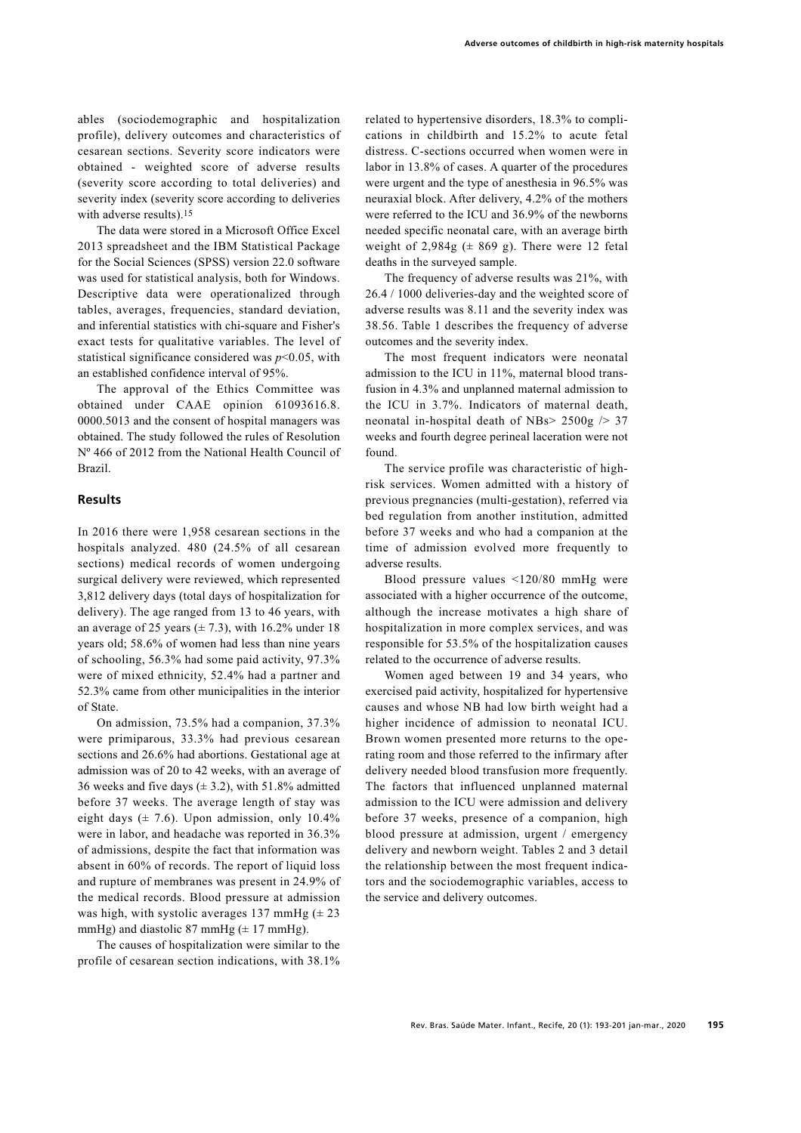ables (sociodemographic and hospitalization profile), delivery outcomes and characteristics of cesarean sections. Severity score indicators were obtained - weighted score of adverse results (severity score according to total deliveries) and severity index (severity score according to deliveries with adverse results).15

The data were stored in a Microsoft Office Excel 2013 spreadsheet and the IBM Statistical Package for the Social Sciences (SPSS) version 22.0 software was used for statistical analysis, both for Windows. Descriptive data were operationalized through tables, averages, frequencies, standard deviation, and inferential statistics with chi-square and Fisher's exact tests for qualitative variables. The level of statistical significance considered was *p*<0.05, with an established confidence interval of 95%.

The approval of the Ethics Committee was obtained under CAAE opinion 61093616.8. 0000.5013 and the consent of hospital managers was obtained. The study followed the rules of Resolution Nº 466 of 2012 from the National Health Council of Brazil.

### **Results**

In 2016 there were 1,958 cesarean sections in the hospitals analyzed. 480 (24.5% of all cesarean sections) medical records of women undergoing surgical delivery were reviewed, which represented 3,812 delivery days (total days of hospitalization for delivery). The age ranged from 13 to 46 years, with an average of 25 years  $(\pm 7.3)$ , with 16.2% under 18 years old; 58.6% of women had less than nine years of schooling, 56.3% had some paid activity, 97.3% were of mixed ethnicity, 52.4% had a partner and 52.3% came from other municipalities in the interior of State.

On admission, 73.5% had a companion, 37.3% were primiparous, 33.3% had previous cesarean sections and 26.6% had abortions. Gestational age at admission was of 20 to 42 weeks, with an average of 36 weeks and five days  $(\pm 3.2)$ , with 51.8% admitted before 37 weeks. The average length of stay was eight days  $(\pm 7.6)$ . Upon admission, only 10.4% were in labor, and headache was reported in 36.3% of admissions, despite the fact that information was absent in 60% of records. The report of liquid loss and rupture of membranes was present in 24.9% of the medical records. Blood pressure at admission was high, with systolic averages 137 mmHg  $(\pm 23)$ mmHg) and diastolic 87 mmHg  $(\pm 17 \text{ mmHg})$ .

The causes of hospitalization were similar to the profile of cesarean section indications, with 38.1%

related to hypertensive disorders, 18.3% to complications in childbirth and 15.2% to acute fetal distress. C-sections occurred when women were in labor in 13.8% of cases. A quarter of the procedures were urgent and the type of anesthesia in 96.5% was neuraxial block. After delivery, 4.2% of the mothers were referred to the ICU and 36.9% of the newborns needed specific neonatal care, with an average birth weight of 2,984g  $(\pm 869 \text{ g})$ . There were 12 fetal deaths in the surveyed sample.

The frequency of adverse results was 21%, with 26.4 / 1000 deliveries-day and the weighted score of adverse results was 8.11 and the severity index was 38.56. Table 1 describes the frequency of adverse outcomes and the severity index.

The most frequent indicators were neonatal admission to the ICU in 11%, maternal blood transfusion in 4.3% and unplanned maternal admission to the ICU in 3.7%. Indicators of maternal death, neonatal in-hospital death of NBs>  $2500g$  /> 37 weeks and fourth degree perineal laceration were not found.

The service profile was characteristic of highrisk services. Women admitted with a history of previous pregnancies (multi-gestation), referred via bed regulation from another institution, admitted before 37 weeks and who had a companion at the time of admission evolved more frequently to adverse results.

Blood pressure values <120/80 mmHg were associated with a higher occurrence of the outcome, although the increase motivates a high share of hospitalization in more complex services, and was responsible for 53.5% of the hospitalization causes related to the occurrence of adverse results.

Women aged between 19 and 34 years, who exercised paid activity, hospitalized for hypertensive causes and whose NB had low birth weight had a higher incidence of admission to neonatal ICU. Brown women presented more returns to the operating room and those referred to the infirmary after delivery needed blood transfusion more frequently. The factors that influenced unplanned maternal admission to the ICU were admission and delivery before 37 weeks, presence of a companion, high blood pressure at admission, urgent / emergency delivery and newborn weight. Tables 2 and 3 detail the relationship between the most frequent indicators and the sociodemographic variables, access to the service and delivery outcomes.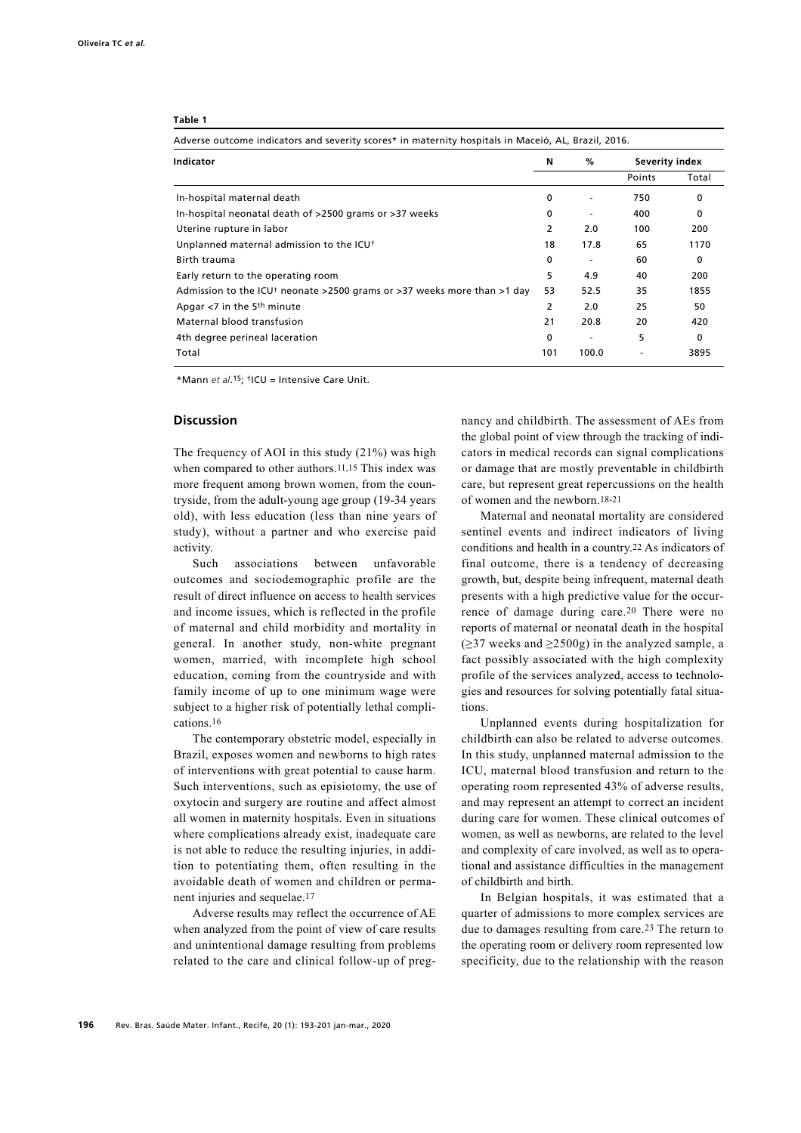| Table 1                                                                                             |   | $\%$<br>N<br>0 |  |  |  |  |  |  |  |  |
|-----------------------------------------------------------------------------------------------------|---|----------------|--|--|--|--|--|--|--|--|
| Adverse outcome indicators and severity scores* in maternity hospitals in Maceió, AL, Brazil, 2016. |   |                |  |  |  |  |  |  |  |  |
| Indicator                                                                                           |   |                |  |  |  |  |  |  |  |  |
|                                                                                                     |   |                |  |  |  |  |  |  |  |  |
| In-hospital maternal death                                                                          |   |                |  |  |  |  |  |  |  |  |
| In-hospital neonatal death of >2500 grams or >37 weeks                                              | 0 | ٠              |  |  |  |  |  |  |  |  |

| In-hospital maternal death                                              | 0   |       | 750 | 0    |
|-------------------------------------------------------------------------|-----|-------|-----|------|
| In-hospital neonatal death of >2500 grams or >37 weeks                  | 0   |       | 400 | 0    |
| Uterine rupture in labor                                                |     | 2.0   | 100 | 200  |
| Unplanned maternal admission to the ICU <sup>+</sup>                    | 18  | 17.8  | 65  | 1170 |
| Birth trauma                                                            | 0   |       | 60  | 0    |
| Early return to the operating room                                      | 5   | 4.9   | 40  | 200  |
| Admission to the ICU† neonate >2500 grams or >37 weeks more than >1 day | 53  | 52.5  | 35  | 1855 |
| Apgar <7 in the 5th minute                                              |     | 2.0   | 25  | 50   |
| Maternal blood transfusion                                              | 21  | 20.8  | 20  | 420  |
| 4th degree perineal laceration                                          | 0   |       | 5   | 0    |
| Total                                                                   | 101 | 100.0 |     | 3895 |

\*Mann *et al*.15; †ICU = Intensive Care Unit.

### **Discussion**

The frequency of AOI in this study (21%) was high when compared to other authors.<sup>11,15</sup> This index was more frequent among brown women, from the countryside, from the adult-young age group (19-34 years old), with less education (less than nine years of study), without a partner and who exercise paid activity.

Such associations between unfavorable outcomes and sociodemographic profile are the result of direct influence on access to health services and income issues, which is reflected in the profile of maternal and child morbidity and mortality in general. In another study, non-white pregnant women, married, with incomplete high school education, coming from the countryside and with family income of up to one minimum wage were subject to a higher risk of potentially lethal complications.16

The contemporary obstetric model, especially in Brazil, exposes women and newborns to high rates of interventions with great potential to cause harm. Such interventions, such as episiotomy, the use of oxytocin and surgery are routine and affect almost all women in maternity hospitals. Even in situations where complications already exist, inadequate care is not able to reduce the resulting injuries, in addition to potentiating them, often resulting in the avoidable death of women and children or permanent injuries and sequelae.17

Adverse results may reflect the occurrence of AE when analyzed from the point of view of care results and unintentional damage resulting from problems related to the care and clinical follow-up of pregnancy and childbirth. The assessment of AEs from the global point of view through the tracking of indicators in medical records can signal complications or damage that are mostly preventable in childbirth care, but represent great repercussions on the health of women and the newborn.18-21

**Indicator N % Severity index**

Points Total

Maternal and neonatal mortality are considered sentinel events and indirect indicators of living conditions and health in a country.22 As indicators of final outcome, there is a tendency of decreasing growth, but, despite being infrequent, maternal death presents with a high predictive value for the occurrence of damage during care.20 There were no reports of maternal or neonatal death in the hospital  $(\geq)37$  weeks and  $\geq$ 2500g) in the analyzed sample, a fact possibly associated with the high complexity profile of the services analyzed, access to technologies and resources for solving potentially fatal situations.

Unplanned events during hospitalization for childbirth can also be related to adverse outcomes. In this study, unplanned maternal admission to the ICU, maternal blood transfusion and return to the operating room represented 43% of adverse results, and may represent an attempt to correct an incident during care for women. These clinical outcomes of women, as well as newborns, are related to the level and complexity of care involved, as well as to operational and assistance difficulties in the management of childbirth and birth.

In Belgian hospitals, it was estimated that a quarter of admissions to more complex services are due to damages resulting from care.23 The return to the operating room or delivery room represented low specificity, due to the relationship with the reason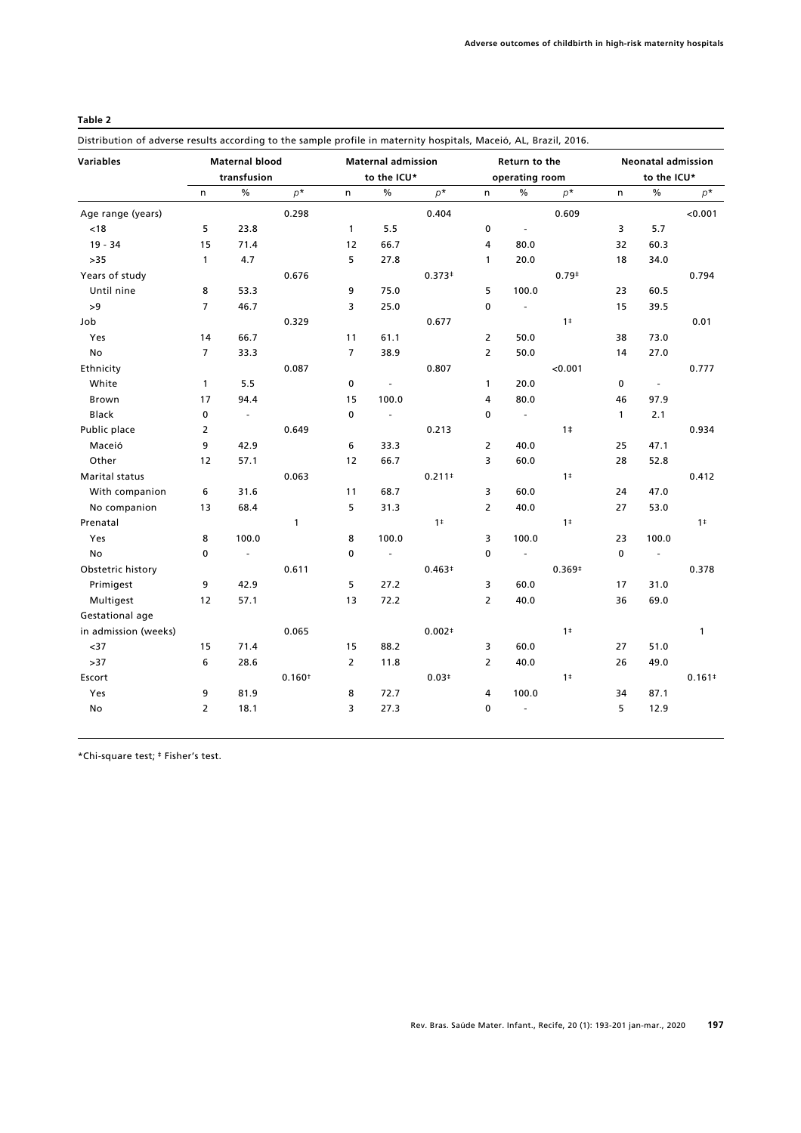### **Table 2**

Distribution of adverse results according to the sample profile in maternity hospitals, Maceió, AL, Brazil, 2016.

| <b>Variables</b>     | <b>Maternal blood</b> |                |                    | <b>Maternal admission</b> |                          |                | Return to the  |                             |                | <b>Neonatal admission</b><br>to the ICU* |                          |                |
|----------------------|-----------------------|----------------|--------------------|---------------------------|--------------------------|----------------|----------------|-----------------------------|----------------|------------------------------------------|--------------------------|----------------|
|                      | transfusion           |                |                    | to the ICU*               |                          |                | operating room |                             |                |                                          |                          |                |
|                      | n.                    | $\%$           | $p^*$              | n.                        | $\%$                     | $p^*$          | n              | $\%$                        | $p^*$          | n                                        | $\frac{0}{0}$            | $p^*$          |
| Age range (years)    |                       |                | 0.298              |                           |                          | 0.404          |                |                             | 0.609          |                                          |                          | < 0.001        |
| < 18                 | 5                     | 23.8           |                    | $\mathbf{1}$              | 5.5                      |                | $\mathbf 0$    | $\mathcal{L}_{\mathcal{A}}$ |                | 3                                        | 5.7                      |                |
| $19 - 34$            | 15                    | 71.4           |                    | 12                        | 66.7                     |                | 4              | 80.0                        |                | 32                                       | 60.3                     |                |
| $>35$                | $\mathbf{1}$          | 4.7            |                    | 5                         | 27.8                     |                | $\mathbf{1}$   | 20.0                        |                | 18                                       | 34.0                     |                |
| Years of study       |                       |                | 0.676              |                           |                          | $0.373*$       |                |                             | $0.79*$        |                                          |                          | 0.794          |
| Until nine           | 8                     | 53.3           |                    | 9                         | 75.0                     |                | 5              | 100.0                       |                | 23                                       | 60.5                     |                |
| >9                   | $\overline{7}$        | 46.7           |                    | 3                         | 25.0                     |                | $\mathbf 0$    | $\Box$                      |                | 15                                       | 39.5                     |                |
| Job                  |                       |                | 0.329              |                           |                          | 0.677          |                |                             | 1 <sup>‡</sup> |                                          |                          | 0.01           |
| Yes                  | 14                    | 66.7           |                    | 11                        | 61.1                     |                | $\overline{2}$ | 50.0                        |                | 38                                       | 73.0                     |                |
| No                   | $\overline{7}$        | 33.3           |                    | $\overline{7}$            | 38.9                     |                | $\overline{2}$ | 50.0                        |                | 14                                       | 27.0                     |                |
| Ethnicity            |                       |                | 0.087              |                           |                          | 0.807          |                |                             | < 0.001        |                                          |                          | 0.777          |
| White                | $\mathbf{1}$          | 5.5            |                    | $\mathbf 0$               | $\sim$                   |                | $\mathbf{1}$   | 20.0                        |                | $\mathbf 0$                              | $\overline{\phantom{a}}$ |                |
| Brown                | 17                    | 94.4           |                    | 15                        | 100.0                    |                | 4              | 80.0                        |                | 46                                       | 97.9                     |                |
| <b>Black</b>         | 0                     | $\blacksquare$ |                    | 0                         | $\overline{\phantom{a}}$ |                | $\mathbf 0$    | $\overline{\phantom{a}}$    |                | $\mathbf{1}$                             | 2.1                      |                |
| Public place         | 2                     |                | 0.649              |                           |                          | 0.213          |                |                             | 1 <sup>‡</sup> |                                          |                          | 0.934          |
| Maceió               | 9                     | 42.9           |                    | 6                         | 33.3                     |                | $\overline{2}$ | 40.0                        |                | 25                                       | 47.1                     |                |
| Other                | 12                    | 57.1           |                    | 12                        | 66.7                     |                | 3              | 60.0                        |                | 28                                       | 52.8                     |                |
| Marital status       |                       |                | 0.063              |                           |                          | $0.211*$       |                |                             | 1 <sup>‡</sup> |                                          |                          | 0.412          |
| With companion       | 6                     | 31.6           |                    | 11                        | 68.7                     |                | 3              | 60.0                        |                | 24                                       | 47.0                     |                |
| No companion         | 13                    | 68.4           |                    | 5                         | 31.3                     |                | $\overline{2}$ | 40.0                        |                | 27                                       | 53.0                     |                |
| Prenatal             |                       |                | $\mathbf{1}$       |                           |                          | $1^{\ddagger}$ |                |                             | 1 <sup>‡</sup> |                                          |                          | 1 <sup>‡</sup> |
| Yes                  | 8                     | 100.0          |                    | 8                         | 100.0                    |                | 3              | 100.0                       |                | 23                                       | 100.0                    |                |
| No                   | $\mathbf 0$           | $\omega$       |                    | $\mathbf 0$               | $\overline{\phantom{a}}$ |                | $\mathbf 0$    | $\mathbb{Z}$                |                | $\mathbf 0$                              | $\overline{\phantom{a}}$ |                |
| Obstetric history    |                       |                | 0.611              |                           |                          | $0.463*$       |                |                             | $0.369*$       |                                          |                          | 0.378          |
| Primigest            | 9                     | 42.9           |                    | 5                         | 27.2                     |                | 3              | 60.0                        |                | 17                                       | 31.0                     |                |
| Multigest            | 12                    | 57.1           |                    | 13                        | 72.2                     |                | $\overline{2}$ | 40.0                        |                | 36                                       | 69.0                     |                |
| Gestational age      |                       |                |                    |                           |                          |                |                |                             |                |                                          |                          |                |
| in admission (weeks) |                       |                | 0.065              |                           |                          | $0.002*$       |                |                             | 1 <sup>‡</sup> |                                          |                          | $\mathbf{1}$   |
| $37$                 | 15                    | 71.4           |                    | 15                        | 88.2                     |                | 3              | 60.0                        |                | 27                                       | 51.0                     |                |
| $>37$                | 6                     | 28.6           |                    | $\overline{2}$            | 11.8                     |                | $\overline{2}$ | 40.0                        |                | 26                                       | 49.0                     |                |
| Escort               |                       |                | 0.160 <sup>†</sup> |                           |                          | $0.03*$        |                |                             | 1 <sup>‡</sup> |                                          |                          | $0.161*$       |
| Yes                  | 9                     | 81.9           |                    | 8                         | 72.7                     |                | 4              | 100.0                       |                | 34                                       | 87.1                     |                |
| No                   | $\overline{2}$        | 18.1           |                    | 3                         | 27.3                     |                | $\mathbf 0$    | $\overline{\phantom{a}}$    |                | 5                                        | 12.9                     |                |
|                      |                       |                |                    |                           |                          |                |                |                             |                |                                          |                          |                |

\*Chi-square test; ‡ Fisher's test.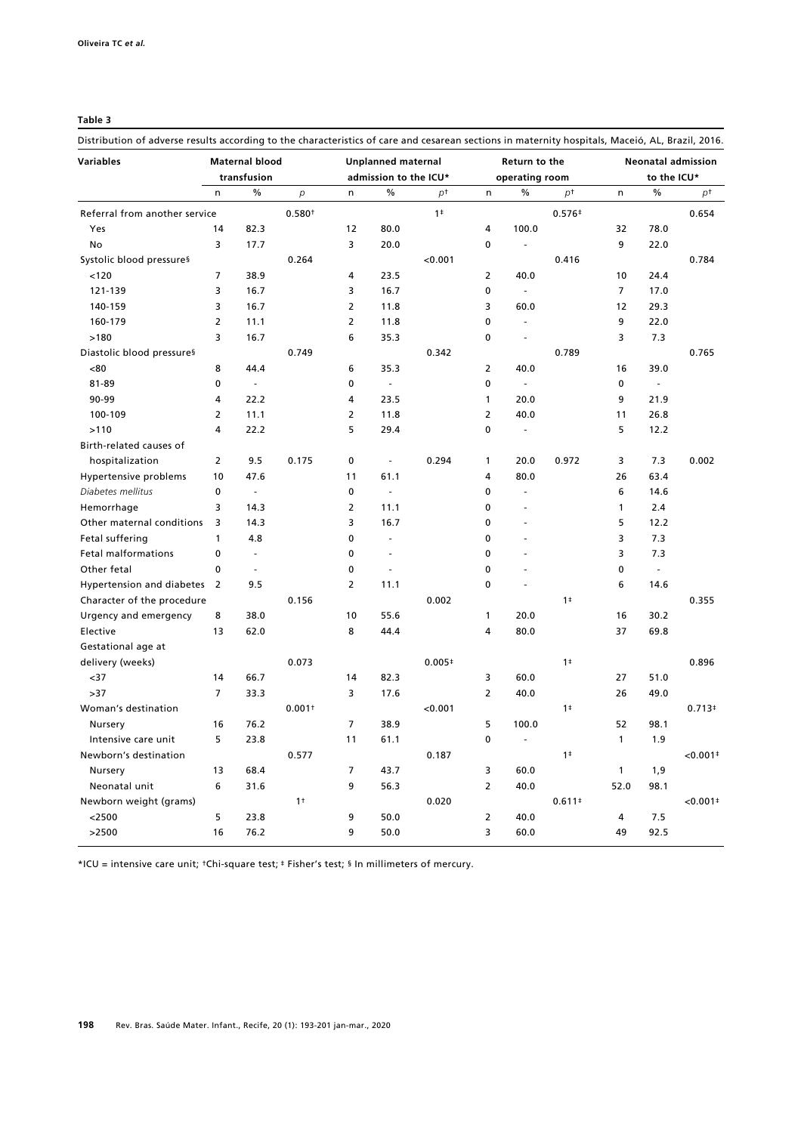### **Table 3**

Distribution of adverse results according to the characteristics of care and cesarean sections in maternity hospitals, Maceió, AL, Brazil, 2016.

| <b>Variables</b>              | <b>Maternal blood</b><br>transfusion |                          | <b>Unplanned maternal</b><br>admission to the ICU* |                |                             | Return to the<br>operating room |                |                             | <b>Neonatal admission</b><br>to the ICU* |                |               |                        |
|-------------------------------|--------------------------------------|--------------------------|----------------------------------------------------|----------------|-----------------------------|---------------------------------|----------------|-----------------------------|------------------------------------------|----------------|---------------|------------------------|
|                               | n                                    | $\frac{0}{0}$            | $\overline{p}$                                     | $\mathsf{n}$   | $\frac{0}{0}$               | p <sup>†</sup>                  | n              | $\%$                        | $p^+$                                    | n              | $\%$          | рt                     |
| Referral from another service |                                      |                          | 0.580 <sup>†</sup>                                 |                |                             | 1 <sup>‡</sup>                  |                |                             | $0.576+$                                 |                |               | 0.654                  |
| Yes                           | 14                                   | 82.3                     |                                                    | 12             | 80.0                        |                                 | 4              | 100.0                       |                                          | 32             | 78.0          |                        |
| No                            | 3                                    | 17.7                     |                                                    | 3              | 20.0                        |                                 | 0              | $\sim$                      |                                          | 9              | 22.0          |                        |
| Systolic blood pressures      |                                      |                          | 0.264                                              |                |                             | 0.001                           |                |                             | 0.416                                    |                |               | 0.784                  |
| 120                           | $\overline{7}$                       | 38.9                     |                                                    | 4              | 23.5                        |                                 | $\overline{2}$ | 40.0                        |                                          | 10             | 24.4          |                        |
| 121-139                       | 3                                    | 16.7                     |                                                    | 3              | 16.7                        |                                 | 0              | $\mathbf{r}$                |                                          | $\overline{7}$ | 17.0          |                        |
| 140-159                       | 3                                    | 16.7                     |                                                    | $\overline{2}$ | 11.8                        |                                 | 3              | 60.0                        |                                          | 12             | 29.3          |                        |
| 160-179                       | $\overline{2}$                       | 11.1                     |                                                    | $\overline{2}$ | 11.8                        |                                 | 0              | $\overline{\phantom{a}}$    |                                          | 9              | 22.0          |                        |
| >180                          | 3                                    | 16.7                     |                                                    | 6              | 35.3                        |                                 | 0              | ÷.                          |                                          | 3              | 7.3           |                        |
| Diastolic blood pressures     |                                      |                          | 0.749                                              |                |                             | 0.342                           |                |                             | 0.789                                    |                |               | 0.765                  |
| <80                           | 8                                    | 44.4                     |                                                    | 6              | 35.3                        |                                 | $\overline{2}$ | 40.0                        |                                          | 16             | 39.0          |                        |
| 81-89                         | 0                                    | $\omega$                 |                                                    | 0              | $\mathcal{L}_{\mathcal{A}}$ |                                 | 0              | $\mathcal{L}_{\mathcal{A}}$ |                                          | $\mathbf 0$    | $\omega$      |                        |
| 90-99                         | 4                                    | 22.2                     |                                                    | 4              | 23.5                        |                                 | $\mathbf{1}$   | 20.0                        |                                          | 9              | 21.9          |                        |
| 100-109                       | 2                                    | 11.1                     |                                                    | $\overline{2}$ | 11.8                        |                                 | $\overline{2}$ | 40.0                        |                                          | 11             | 26.8          |                        |
| >110                          | 4                                    | 22.2                     |                                                    | 5              | 29.4                        |                                 | 0              | $\sim$                      |                                          | 5              | 12.2          |                        |
| Birth-related causes of       |                                      |                          |                                                    |                |                             |                                 |                |                             |                                          |                |               |                        |
| hospitalization               | $\overline{2}$                       | 9.5                      | 0.175                                              | 0              | ÷,                          | 0.294                           | 1              | 20.0                        | 0.972                                    | 3              | 7.3           | 0.002                  |
| Hypertensive problems         | 10                                   | 47.6                     |                                                    | 11             | 61.1                        |                                 | 4              | 80.0                        |                                          | 26             | 63.4          |                        |
| Diabetes mellitus             | 0                                    | ÷,                       |                                                    | 0              | $\overline{\phantom{a}}$    |                                 | 0              | L.                          |                                          | 6              | 14.6          |                        |
| Hemorrhage                    | 3                                    | 14.3                     |                                                    | $\overline{2}$ | 11.1                        |                                 | 0              | $\overline{\phantom{a}}$    |                                          | 1              | 2.4           |                        |
| Other maternal conditions     | 3                                    | 14.3                     |                                                    | 3              | 16.7                        |                                 | 0              | L.                          |                                          | 5              | 12.2          |                        |
| Fetal suffering               | 1                                    | 4.8                      |                                                    | $\mathbf 0$    | L,                          |                                 | 0              | L,                          |                                          | 3              | 7.3           |                        |
| <b>Fetal malformations</b>    | 0                                    | $\overline{\phantom{a}}$ |                                                    | 0              | ä,                          |                                 | 0              |                             |                                          | 3              | 7.3           |                        |
| Other fetal                   | 0                                    | ÷.                       |                                                    | 0              | ÷.                          |                                 | 0              | ä,                          |                                          | $\mathbf 0$    | $\mathcal{L}$ |                        |
| Hypertension and diabetes 2   |                                      | 9.5                      |                                                    | $\overline{2}$ | 11.1                        |                                 | $\mathbf 0$    | ÷,                          |                                          | 6              | 14.6          |                        |
| Character of the procedure    |                                      |                          | 0.156                                              |                |                             | 0.002                           |                |                             | 1 <sup>‡</sup>                           |                |               | 0.355                  |
| Urgency and emergency         | 8                                    | 38.0                     |                                                    | 10             | 55.6                        |                                 | 1              | 20.0                        |                                          | 16             | 30.2          |                        |
| Elective                      | 13                                   | 62.0                     |                                                    | 8              | 44.4                        |                                 | 4              | 80.0                        |                                          | 37             | 69.8          |                        |
| Gestational age at            |                                      |                          |                                                    |                |                             |                                 |                |                             |                                          |                |               |                        |
| delivery (weeks)              |                                      |                          | 0.073                                              |                |                             | $0.005*$                        |                |                             | 1 <sup>‡</sup>                           |                |               | 0.896                  |
| $37$                          | 14                                   | 66.7                     |                                                    | 14             | 82.3                        |                                 | 3              | 60.0                        |                                          | 27             | 51.0          |                        |
| >37                           | $\overline{7}$                       | 33.3                     |                                                    | 3              | 17.6                        |                                 | $\overline{2}$ | 40.0                        |                                          | 26             | 49.0          |                        |
| Woman's destination           |                                      |                          | 0.001 <sup>†</sup>                                 |                |                             | < 0.001                         |                |                             | 1 <sup>‡</sup>                           |                |               | $0.713*$               |
| Nursery                       | 16                                   | 76.2                     |                                                    | $\overline{7}$ | 38.9                        |                                 | 5              | 100.0                       |                                          | 52             | 98.1          |                        |
| Intensive care unit           | 5                                    | 23.8                     |                                                    | 11             | 61.1                        |                                 | 0              | $\sim$                      |                                          | $\mathbf{1}$   | 1.9           |                        |
| Newborn's destination         |                                      |                          | 0.577                                              |                |                             | 0.187                           |                |                             | 1 <sup>‡</sup>                           |                |               | $0.001$ <sup>+</sup>   |
| Nursery                       | 13                                   | 68.4                     |                                                    | $\overline{7}$ | 43.7                        |                                 | 3              | 60.0                        |                                          | $\mathbf{1}$   | 1,9           |                        |
| Neonatal unit                 | 6                                    | 31.6                     |                                                    | 9              | 56.3                        |                                 | $\overline{2}$ | 40.0                        |                                          | 52.0           | 98.1          |                        |
| Newborn weight (grams)        |                                      |                          | 1 <sup>†</sup>                                     |                |                             | 0.020                           |                |                             | $0.611*$                                 |                |               | $< 0.001$ <sup>+</sup> |
| $<$ 2500                      | 5                                    | 23.8                     |                                                    | 9              | 50.0                        |                                 | $\overline{2}$ | 40.0                        |                                          | 4              | 7.5           |                        |
| >2500                         | $16$                                 | 76.2                     |                                                    | 9              | 50.0                        |                                 | 3              | 60.0                        |                                          | 49             | 92.5          |                        |

\*ICU = intensive care unit; †Chi-square test; ‡ Fisher's test; § In millimeters of mercury.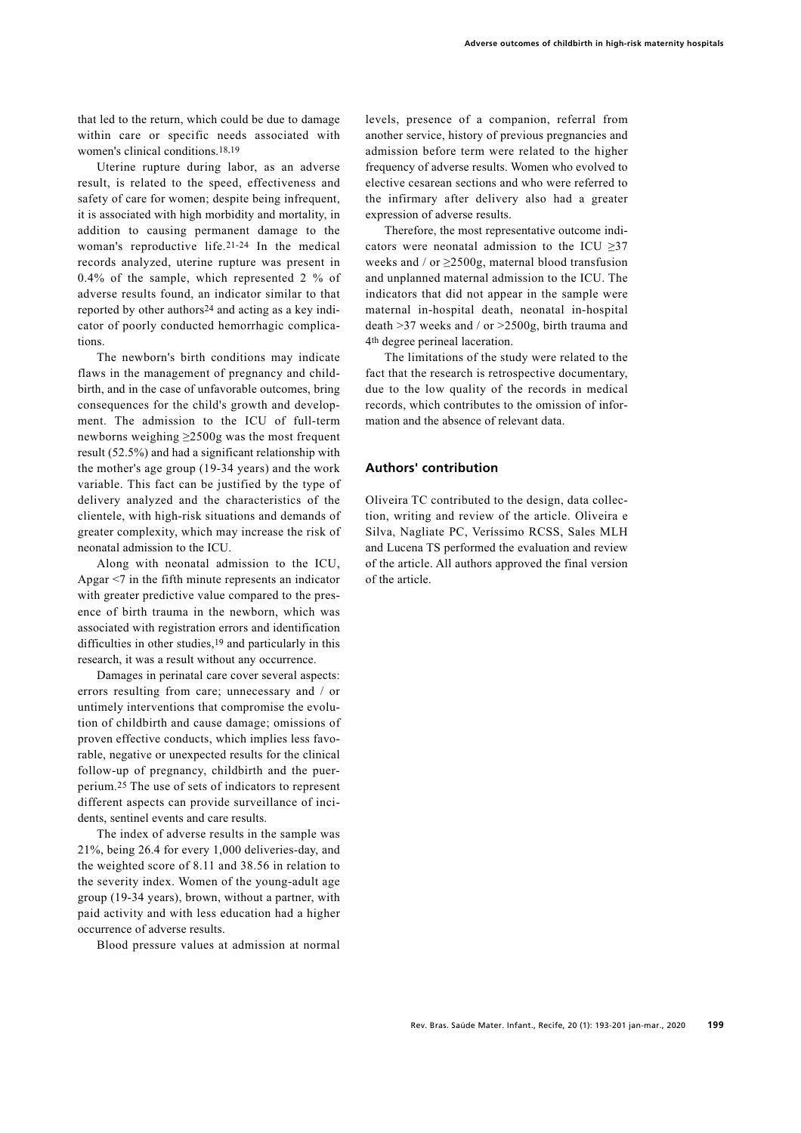that led to the return, which could be due to damage within care or specific needs associated with women's clinical conditions.18,19

Uterine rupture during labor, as an adverse result, is related to the speed, effectiveness and safety of care for women; despite being infrequent, it is associated with high morbidity and mortality, in addition to causing permanent damage to the woman's reproductive life.21-24 In the medical records analyzed, uterine rupture was present in 0.4% of the sample, which represented 2 % of adverse results found, an indicator similar to that reported by other authors24 and acting as a key indicator of poorly conducted hemorrhagic complications.

The newborn's birth conditions may indicate flaws in the management of pregnancy and childbirth, and in the case of unfavorable outcomes, bring consequences for the child's growth and development. The admission to the ICU of full-term newborns weighing ≥2500g was the most frequent result (52.5%) and had a significant relationship with the mother's age group (19-34 years) and the work variable. This fact can be justified by the type of delivery analyzed and the characteristics of the clientele, with high-risk situations and demands of greater complexity, which may increase the risk of neonatal admission to the ICU.

Along with neonatal admission to the ICU, Apgar <7 in the fifth minute represents an indicator with greater predictive value compared to the presence of birth trauma in the newborn, which was associated with registration errors and identification difficulties in other studies,19 and particularly in this research, it was a result without any occurrence.

Damages in perinatal care cover several aspects: errors resulting from care; unnecessary and / or untimely interventions that compromise the evolution of childbirth and cause damage; omissions of proven effective conducts, which implies less favorable, negative or unexpected results for the clinical follow-up of pregnancy, childbirth and the puerperium.25 The use of sets of indicators to represent different aspects can provide surveillance of incidents, sentinel events and care results.

The index of adverse results in the sample was 21%, being 26.4 for every 1,000 deliveries-day, and the weighted score of 8.11 and 38.56 in relation to the severity index. Women of the young-adult age group (19-34 years), brown, without a partner, with paid activity and with less education had a higher occurrence of adverse results.

Blood pressure values at admission at normal

levels, presence of a companion, referral from another service, history of previous pregnancies and admission before term were related to the higher frequency of adverse results. Women who evolved to elective cesarean sections and who were referred to the infirmary after delivery also had a greater expression of adverse results.

Therefore, the most representative outcome indicators were neonatal admission to the ICU ≥37 weeks and / or ≥2500g, maternal blood transfusion and unplanned maternal admission to the ICU. The indicators that did not appear in the sample were maternal in-hospital death, neonatal in-hospital death >37 weeks and / or >2500g, birth trauma and 4th degree perineal laceration.

The limitations of the study were related to the fact that the research is retrospective documentary, due to the low quality of the records in medical records, which contributes to the omission of information and the absence of relevant data.

## **Authors' contribution**

Oliveira TC contributed to the design, data collection, writing and review of the article. Oliveira e Silva, Nagliate PC, Veríssimo RCSS, Sales MLH and Lucena TS performed the evaluation and review of the article. All authors approved the final version of the article.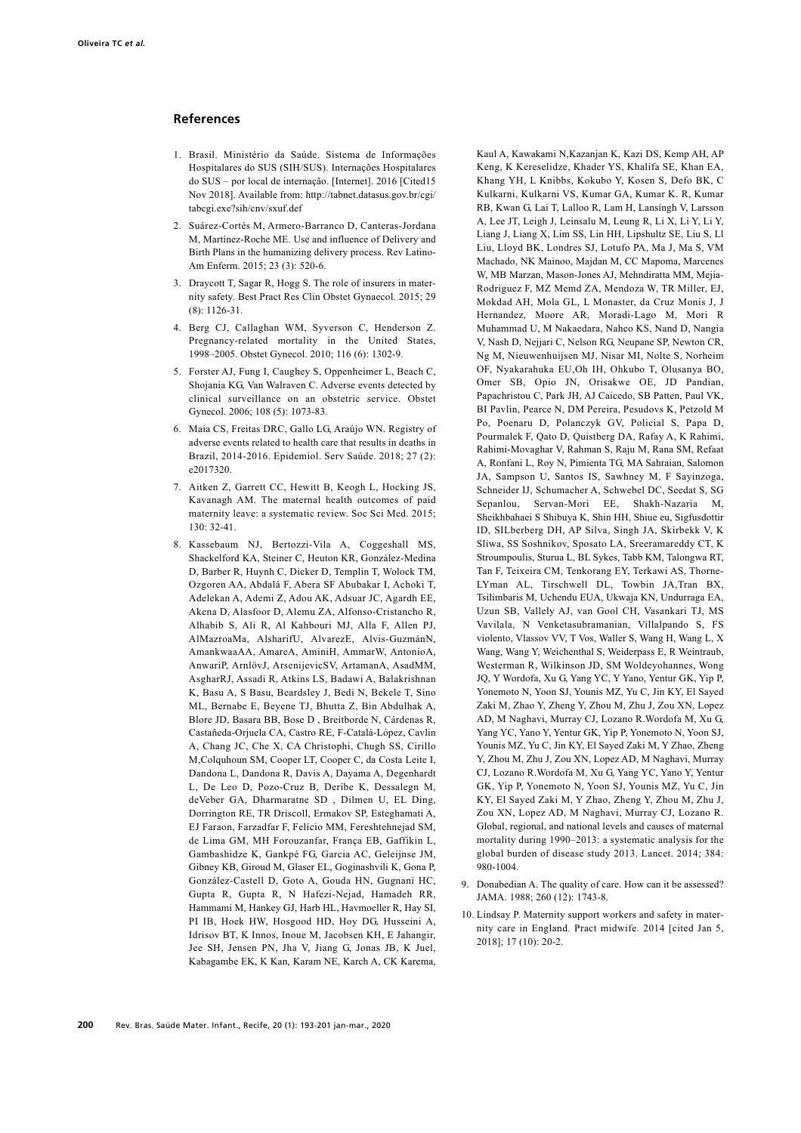#### **References**

- 1. Brasil. Ministério da Saúde. Sistema de Informações Hospitalares do SUS (SIH/SUS). Internações Hospitalares do SUS – por local de internação. [Internet]. 2016 [Cited15 Nov 2018]. Available from: http://tabnet.datasus.gov.br/cgi/ tabcgi.exe?sih/cnv/sxuf.def
- 2. Suárez-Cortés M, Armero-Barranco D, Canteras-Jordana M, Martínez-Roche ME. Use and influence of Delivery and Birth Plans in the humanizing delivery process. Rev Latino-Am Enferm. 2015; 23 (3): 520-6.
- 3. Draycott T, Sagar R, Hogg S. The role of insurers in maternity safety. Best Pract Res Clin Obstet Gynaecol. 2015; 29 (8): 1126-31.
- 4. Berg CJ, Callaghan WM, Syverson C, Henderson Z. Pregnancy-related mortality in the United States 1998–2005. Obstet Gynecol. 2010; 116 (6): 1302-9.
- 5. Forster AJ, Fung I, Caughey S, Oppenheimer L, Beach C, Shojania KG, Van Walraven C. Adverse events detected by clinical surveillance on an obstetric service. Obstet Gynecol. 2006; 108 (5): 1073-83.
- 6. Maia CS, Freitas DRC, Gallo LG, Araújo WN. Registry of adverse events related to health care that results in deaths in Brazil, 2014-2016. Epidemiol. Serv Saúde. 2018; 27 (2): e2017320.
- 7. Aitken Z, Garrett CC, Hewitt B, Keogh L, Hocking JS, Kavanagh AM. The maternal health outcomes of paid maternity leave: a systematic review. Soc Sci Med. 2015; 130: 32-41.
- 8. Kassebaum NJ, Bertozzi-Vila A, Coggeshall MS, Shackelford KA, Steiner C, Heuton KR, González-Medina D, Barber R, Huynh C, Dicker D, Templin T, Wolock TM, Ozgoren AA, Abdalá F, Abera SF Abubakar I, Achoki T, Adelekan A, Ademi Z, Adou AK, Adsuar JC, Agardh EE, Akena D, Alasfoor D, Alemu ZA, Alfonso-Cristancho R, Alhabib S, Ali R, Al Kahbouri MJ, Alla F, Allen PJ, AlMazroaMa, AlsharifU, AlvarezE, Alvis-GuzmánN, AmankwaaAA, AmareA, AminiH, AmmarW, AntonioA, AnwariP, ArnlövJ, ArsenijevicSV, ArtamanA, AsadMM, AsgharRJ, Assadi R, Atkins LS, Badawi A, Balakrishnan K, Basu A, S Basu, Beardsley J, Bedi N, Bekele T, Sino ML, Bernabe E, Beyene TJ, Bhutta Z, Bin Abdulhak A, Blore JD, Basara BB, Bose D , Breitborde N, Cárdenas R, Castañeda-Orjuela CA, Castro RE, F-Catalá-López, Cavlin A, Chang JC, Che X, CA Christophi, Chugh SS, Cirillo M,Colquhoun SM, Cooper LT, Cooper C, da Costa Leite I, Dandona L, Dandona R, Davis A, Dayama A, Degenhardt L, De Leo D, Pozo-Cruz B, Deribe K, Dessalegn M, deVeber GA, Dharmaratne SD , Dilmen U, EL Ding, Dorrington RE, TR Driscoll, Ermakov SP, Esteghamati A, EJ Faraon, Farzadfar F, Felício MM, Fereshtehnejad SM, de Lima GM, MH Forouzanfar, França EB, Gaffikin L, Gambashidze K, Gankpé FG, Garcia AC, Geleijnse JM, Gibney KB, Giroud M, Glaser EL, Goginashvili K, Gona P, González-Castell D, Goto A, Gouda HN, Gugnani HC, Gupta R, Gupta R, N Hafezi-Nejad, Hamadeh RR, Hammami M, Hankey GJ, Harb HL, Havmoeller R, Hay SI, PI IB, Hoek HW, Hosgood HD, Hoy DG, Husseini A, Idrisov BT, K Innos, Inoue M, Jacobsen KH, E Jahangir, Jee SH, Jensen PN, Jha V, Jiang G, Jonas JB, K Juel, Kabagambe EK, K Kan, Karam NE, Karch A, CK Karema,

Kaul A, Kawakami N,Kazanjan K, Kazi DS, Kemp AH, AP Keng, K Kereselidze, Khader YS, Khalifa SE, Khan EA, Khang YH, L Knibbs, Kokubo Y, Kosen S, Defo BK, C Kulkarni, Kulkarni VS, Kumar GA, Kumar K. R, Kumar RB, Kwan G, Lai T, Lalloo R, Lam H, Lansingh V, Larsson A, Lee JT, Leigh J, Leinsalu M, Leung R, Li X, Li Y, Li Y, Liang J, Liang X, Lim SS, Lin HH, Lipshultz SE, Liu S, Ll Liu, Lloyd BK, Londres SJ, Lotufo PA, Ma J, Ma S, VM Machado, NK Mainoo, Majdan M, CC Mapoma, Marcenes W, MB Marzan, Mason-Jones AJ, Mehndiratta MM, Mejia-Rodriguez F, MZ Memd ZA, Mendoza W, TR Miller, EJ, Mokdad AH, Mola GL, L Monaster, da Cruz Monis J, J Hernandez, Moore AR, Moradi-Lago M, Mori R Muhammad U, M Nakaedara, Naheo KS, Nand D, Nangia V, Nash D, Nejjari C, Nelson RG, Neupane SP, Newton CR, Ng M, Nieuwenhuijsen MJ, Nisar MI, Nolte S, Norheim OF, Nyakarahuka EU,Oh IH, Ohkubo T, Olusanya BO, Omer SB, Opio JN, Orisakwe OE, JD Pandian, Papachristou C, Park JH, AJ Caicedo, SB Patten, Paul VK, BI Pavlin, Pearce N, DM Pereira, Pesudovs K, Petzold M Po, Poenaru D, Polanczyk GV, Policial S, Papa D, Pourmalek F, Qato D, Quistberg DA, Rafay A, K Rahimi, Rahimi-Movaghar V, Rahman S, Raju M, Rana SM, Refaat A, Ronfani L, Roy N, Pimienta TG, MA Sahraian, Salomon JA, Sampson U, Santos IS, Sawhney M, F Sayinzoga, Schneider IJ, Schumacher A, Schwebel DC, Seedat S, SG Sepanlou, Servan-Mori EE, Shakh-Nazaria M, Sheikhbahaei S Shibuya K, Shin HH, Shiue eu, Sigfusdottir ID, SILberberg DH, AP Silva, Singh JA, Skirbekk V, K Sliwa, SS Soshnikov, Sposato LA, Sreeramareddy CT, K Stroumpoulis, Sturua L, BL Sykes, Tabb KM, Talongwa RT, Tan F, Teixeira CM, Tenkorang EY, Terkawi AS, Thorne-LYman AL, Tirschwell DL, Towbin JA,Tran BX, Tsilimbaris M, Uchendu EUA, Ukwaja KN, Undurraga EA, Uzun SB, Vallely AJ, van Gool CH, Vasankari TJ, MS Vavilala, N Venketasubramanian, Villalpando S, FS violento, Vlassov VV, T Vos, Waller S, Wang H, Wang L, X Wang, Wang Y, Weichenthal S, Weiderpass E, R Weintraub, Westerman R, Wilkinson JD, SM Woldeyohannes, Wong JQ, Y Wordofa, Xu G, Yang YC, Y Yano, Yentur GK, Yip P, Yonemoto N, Yoon SJ, Younis MZ, Yu C, Jin KY, El Sayed Zaki M, Zhao Y, Zheng Y, Zhou M, Zhu J, Zou XN, Lopez AD, M Naghavi, Murray CJ, Lozano R.Wordofa M, Xu G, Yang YC, Yano Y, Yentur GK, Yip P, Yonemoto N, Yoon SJ, Younis MZ, Yu C, Jin KY, El Sayed Zaki M, Y Zhao, Zheng Y, Zhou M, Zhu J, Zou XN, Lopez AD, M Naghavi, Murray CJ, Lozano R.Wordofa M, Xu G, Yang YC, Yano Y, Yentur GK, Yip P, Yonemoto N, Yoon SJ, Younis MZ, Yu C, Jin KY, El Sayed Zaki M, Y Zhao, Zheng Y, Zhou M, Zhu J, Zou XN, Lopez AD, M Naghavi, Murray CJ, Lozano R. Global, regional, and national levels and causes of maternal mortality during 1990–2013: a systematic analysis for the global burden of disease study 2013. Lancet. 2014; 384: 980-1004.

- 9. Donabedian A. The quality of care. How can it be assessed? JAMA. 1988; 260 (12): 1743-8.
- 10. Lindsay P. Maternity support workers and safety in maternity care in England. Pract midwife. 2014 [cited Jan 5, 2018]; 17 (10): 20-2.